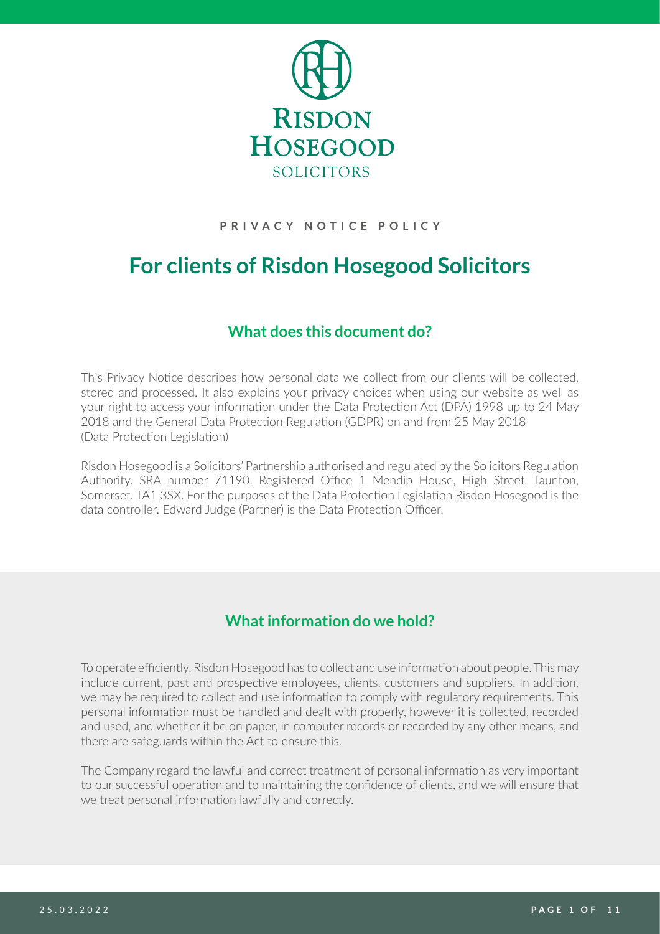

#### **PRIVACY NOTICE POLICY**

# **For clients of Risdon Hosegood Solicitors**

## **What does this document do?**

This Privacy Notice describes how personal data we collect from our clients will be collected, stored and processed. It also explains your privacy choices when using our website as well as your right to access your information under the Data Protection Act (DPA) 1998 up to 24 May 2018 and the General Data Protection Regulation (GDPR) on and from 25 May 2018 (Data Protection Legislation)

Risdon Hosegood is a Solicitors' Partnership authorised and regulated by the Solicitors Regulation Authority. SRA number 71190. Registered Office 1 Mendip House, High Street, Taunton, Somerset. TA1 3SX. For the purposes of the Data Protection Legislation Risdon Hosegood is the data controller. Edward Judge (Partner) is the Data Protection Officer.

# **What information do we hold?**

To operate efficiently, Risdon Hosegood has to collect and use information about people. This may include current, past and prospective employees, clients, customers and suppliers. In addition, we may be required to collect and use information to comply with regulatory requirements. This personal information must be handled and dealt with properly, however it is collected, recorded and used, and whether it be on paper, in computer records or recorded by any other means, and there are safeguards within the Act to ensure this.

The Company regard the lawful and correct treatment of personal information as very important to our successful operation and to maintaining the confidence of clients, and we will ensure that we treat personal information lawfully and correctly.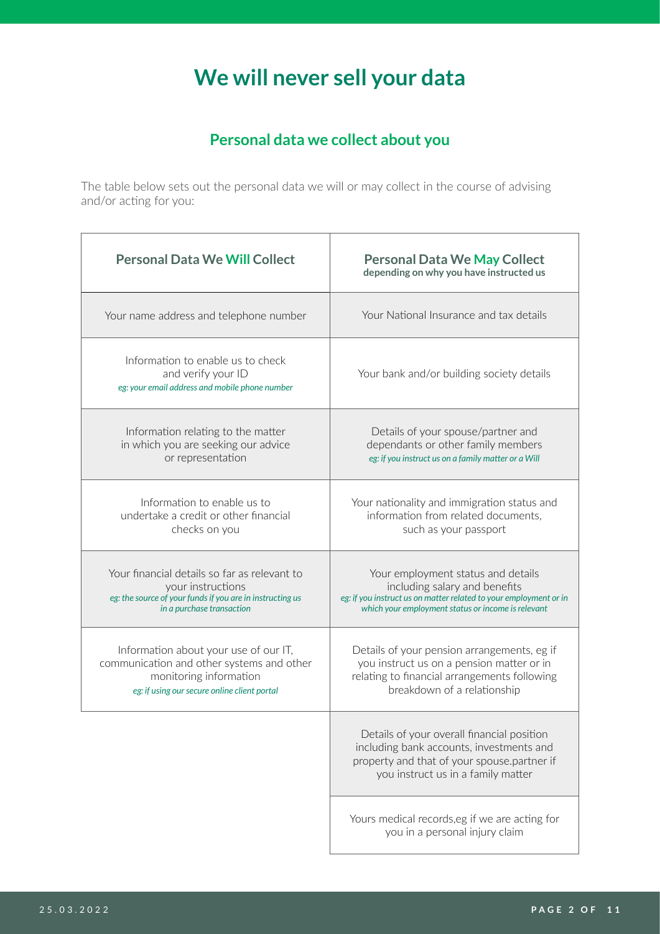# **We will never sell your data**

# **Personal data we collect about you**

The table below sets out the personal data we will or may collect in the course of advising and/or acting for you:

|  | <b>Personal Data We Will Collect</b>                                                                                                                         | <b>Personal Data We May Collect</b><br>depending on why you have instructed us                                                                                                                 |
|--|--------------------------------------------------------------------------------------------------------------------------------------------------------------|------------------------------------------------------------------------------------------------------------------------------------------------------------------------------------------------|
|  | Your name address and telephone number                                                                                                                       | Your National Insurance and tax details                                                                                                                                                        |
|  | Information to enable us to check<br>and verify your ID<br>eg: your email address and mobile phone number                                                    | Your bank and/or building society details                                                                                                                                                      |
|  | Information relating to the matter<br>in which you are seeking our advice<br>or representation                                                               | Details of your spouse/partner and<br>dependants or other family members<br>eg: if you instruct us on a family matter or a Will                                                                |
|  | Information to enable us to<br>undertake a credit or other financial<br>checks on you                                                                        | Your nationality and immigration status and<br>information from related documents,<br>such as your passport                                                                                    |
|  | Your financial details so far as relevant to<br>your instructions<br>eg: the source of your funds if you are in instructing us<br>in a purchase transaction  | Your employment status and details<br>including salary and benefits<br>eg: if you instruct us on matter related to your employment or in<br>which your employment status or income is relevant |
|  | Information about your use of our IT,<br>communication and other systems and other<br>monitoring information<br>eg: if using our secure online client portal | Details of your pension arrangements, eg if<br>you instruct us on a pension matter or in<br>relating to financial arrangements following<br>breakdown of a relationship                        |
|  |                                                                                                                                                              | Details of your overall financial position<br>including bank accounts, investments and<br>property and that of your spouse.partner if<br>you instruct us in a family matter                    |
|  |                                                                                                                                                              | Yours medical records,eg if we are acting for<br>you in a personal injury claim                                                                                                                |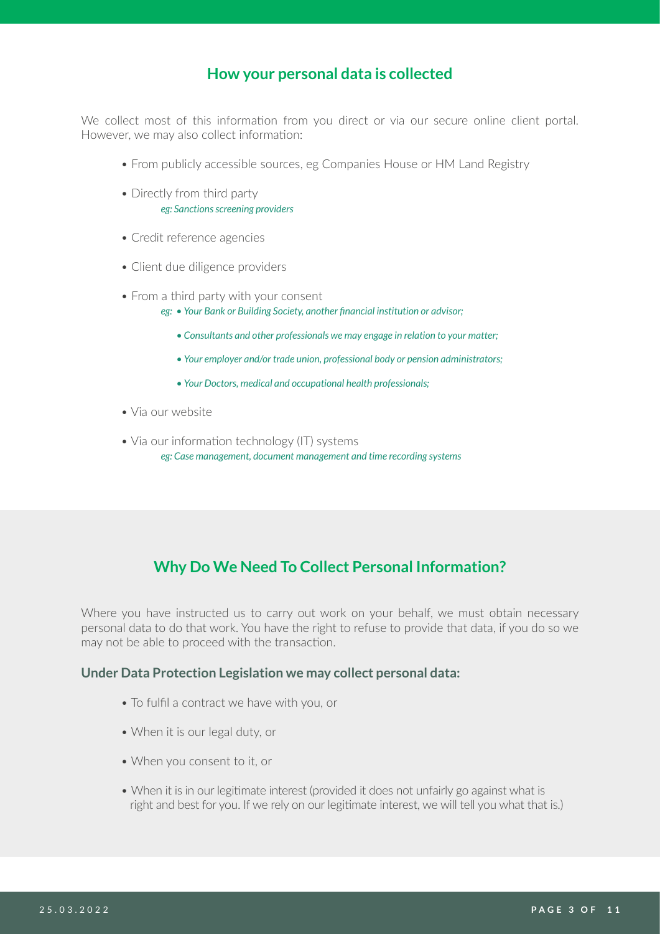## **How your personal data is collected**

We collect most of this information from you direct or via our secure online client portal. However, we may also collect information:

- From publicly accessible sources, eg Companies House or HM Land Registry
- Directly from third party *eg: Sanctions screening providers*
- Credit reference agencies
- Client due diligence providers
- From a third party with your consent
	- *eg: Your Bank or Building Society, another financial institution or advisor;*
		- *Consultants and other professionals we may engage in relation to your matter;*
		- *Your employer and/or trade union, professional body or pension administrators;*
		- *Your Doctors, medical and occupational health professionals;*
- Via our website
- Via our information technology (IT) systems *eg: Case management, document management and time recording systems*

# **Why Do We Need To Collect Personal Information?**

Where you have instructed us to carry out work on your behalf, we must obtain necessary personal data to do that work. You have the right to refuse to provide that data, if you do so we may not be able to proceed with the transaction.

#### **Under Data Protection Legislation we may collect personal data:**

- To fulfil a contract we have with you, or
- When it is our legal duty, or
- When you consent to it, or
- When it is in our legitimate interest (provided it does not unfairly go against what is right and best for you. If we rely on our legitimate interest, we will tell you what that is.)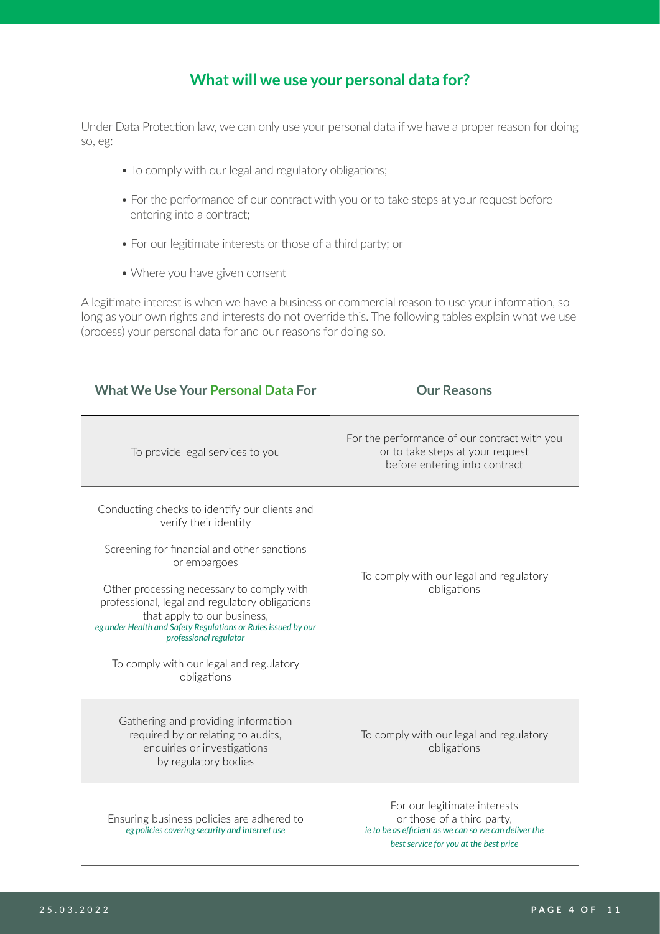## **What will we use your personal data for?**

Under Data Protection law, we can only use your personal data if we have a proper reason for doing so, eg:

- To comply with our legal and regulatory obligations;
- For the performance of our contract with you or to take steps at your request before entering into a contract;
- For our legitimate interests or those of a third party; or
- Where you have given consent

A legitimate interest is when we have a business or commercial reason to use your information, so long as your own rights and interests do not override this. The following tables explain what we use (process) your personal data for and our reasons for doing so.

| <b>What We Use Your Personal Data For</b>                                                                                                                                                                                                                                                                                                                                                                                | <b>Our Reasons</b>                                                                                                                                            |
|--------------------------------------------------------------------------------------------------------------------------------------------------------------------------------------------------------------------------------------------------------------------------------------------------------------------------------------------------------------------------------------------------------------------------|---------------------------------------------------------------------------------------------------------------------------------------------------------------|
| To provide legal services to you                                                                                                                                                                                                                                                                                                                                                                                         | For the performance of our contract with you<br>or to take steps at your request<br>before entering into contract                                             |
| Conducting checks to identify our clients and<br>verify their identity<br>Screening for financial and other sanctions<br>or embargoes<br>Other processing necessary to comply with<br>professional, legal and regulatory obligations<br>that apply to our business,<br>eg under Health and Safety Regulations or Rules issued by our<br>professional regulator<br>To comply with our legal and regulatory<br>obligations | To comply with our legal and regulatory<br>obligations                                                                                                        |
| Gathering and providing information<br>required by or relating to audits,<br>enquiries or investigations<br>by regulatory bodies                                                                                                                                                                                                                                                                                         | To comply with our legal and regulatory<br>obligations                                                                                                        |
| Ensuring business policies are adhered to<br>eg policies covering security and internet use                                                                                                                                                                                                                                                                                                                              | For our legitimate interests<br>or those of a third party,<br>ie to be as efficient as we can so we can deliver the<br>best service for you at the best price |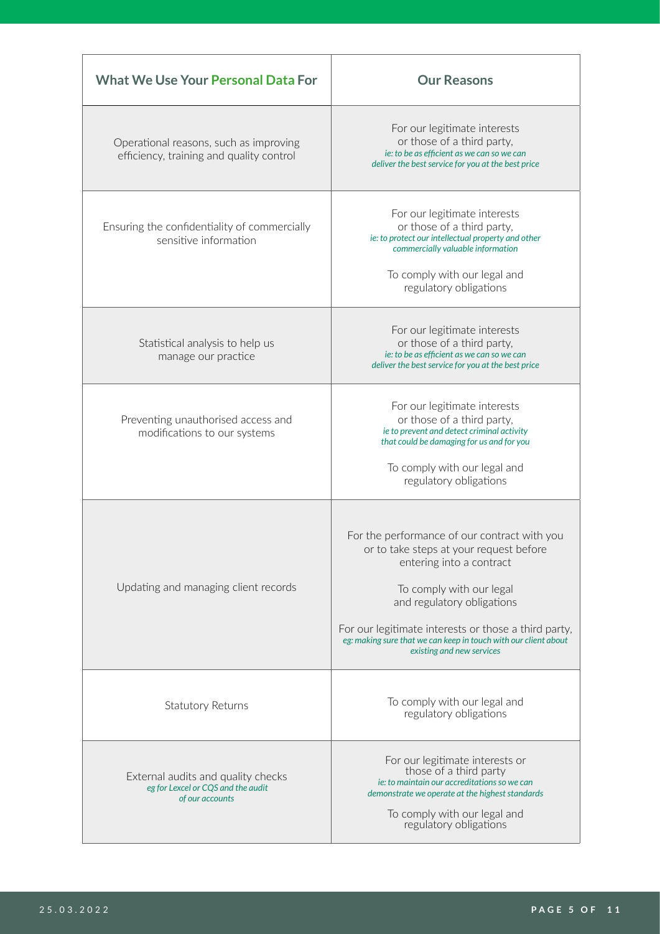| <b>What We Use Your Personal Data For</b>                                                   | <b>Our Reasons</b>                                                                                                                                                                                                                                                                                                                    |
|---------------------------------------------------------------------------------------------|---------------------------------------------------------------------------------------------------------------------------------------------------------------------------------------------------------------------------------------------------------------------------------------------------------------------------------------|
| Operational reasons, such as improving<br>efficiency, training and quality control          | For our legitimate interests<br>or those of a third party,<br>ie: to be as efficient as we can so we can<br>deliver the best service for you at the best price                                                                                                                                                                        |
| Ensuring the confidentiality of commercially<br>sensitive information                       | For our legitimate interests<br>or those of a third party,<br>ie: to protect our intellectual property and other<br>commercially valuable information<br>To comply with our legal and<br>regulatory obligations                                                                                                                       |
| Statistical analysis to help us<br>manage our practice                                      | For our legitimate interests<br>or those of a third party,<br>ie: to be as efficient as we can so we can<br>deliver the best service for you at the best price                                                                                                                                                                        |
| Preventing unauthorised access and<br>modifications to our systems                          | For our legitimate interests<br>or those of a third party,<br>ie to prevent and detect criminal activity<br>that could be damaging for us and for you<br>To comply with our legal and<br>regulatory obligations                                                                                                                       |
| Updating and managing client records                                                        | For the performance of our contract with you<br>or to take steps at your request before<br>entering into a contract<br>To comply with our legal<br>and regulatory obligations<br>For our legitimate interests or those a third party,<br>eg: making sure that we can keep in touch with our client about<br>existing and new services |
| Statutory Returns                                                                           | To comply with our legal and<br>regulatory obligations                                                                                                                                                                                                                                                                                |
| External audits and quality checks<br>eg for Lexcel or CQS and the audit<br>of our accounts | For our legitimate interests or<br>those of a third party<br>je: to maintain our accreditations so we can<br>demonstrate we operate at the highest standards<br>To comply with our legal and<br>regulatory obligations                                                                                                                |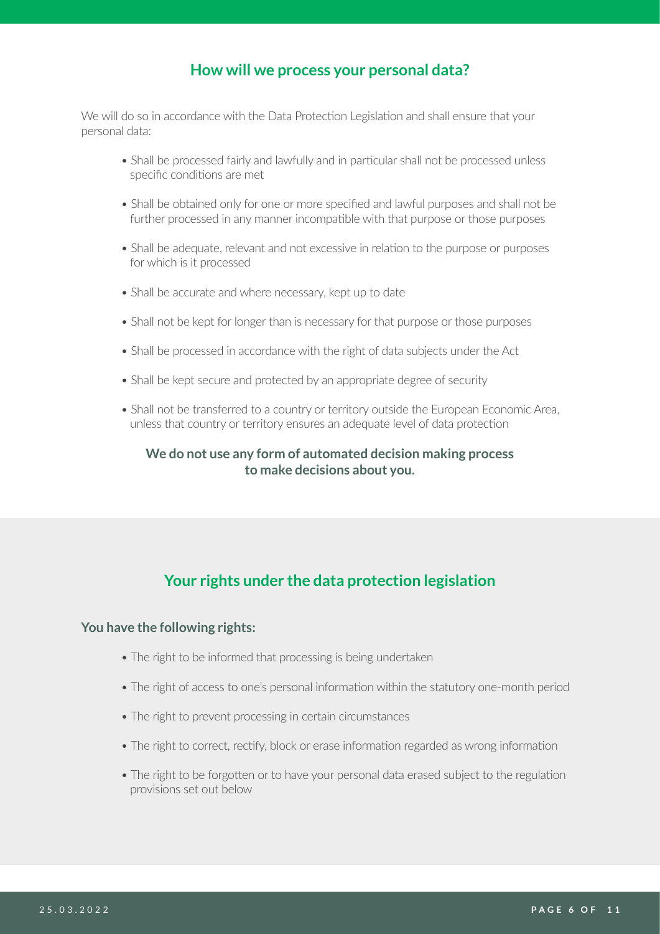## **How will we process your personal data?**

We will do so in accordance with the Data Protection Legislation and shall ensure that your personal data:

- Shall be processed fairly and lawfully and in particular shall not be processed unless specific conditions are met
- Shall be obtained only for one or more specified and lawful purposes and shall not be further processed in any manner incompatible with that purpose or those purposes
- Shall be adequate, relevant and not excessive in relation to the purpose or purposes for which is it processed
- Shall be accurate and where necessary, kept up to date
- Shall not be kept for longer than is necessary for that purpose or those purposes
- Shall be processed in accordance with the right of data subjects under the Act
- Shall be kept secure and protected by an appropriate degree of security
- Shall not be transferred to a country or territory outside the European Economic Area, unless that country or territory ensures an adequate level of data protection

#### **We do not use any form of automated decision making process to make decisions about you.**

# **Your rights under the data protection legislation**

#### **You have the following rights:**

- The right to be informed that processing is being undertaken
- The right of access to one's personal information within the statutory one-month period
- The right to prevent processing in certain circumstances
- The right to correct, rectify, block or erase information regarded as wrong information
- The right to be forgotten or to have your personal data erased subject to the regulation provisions set out below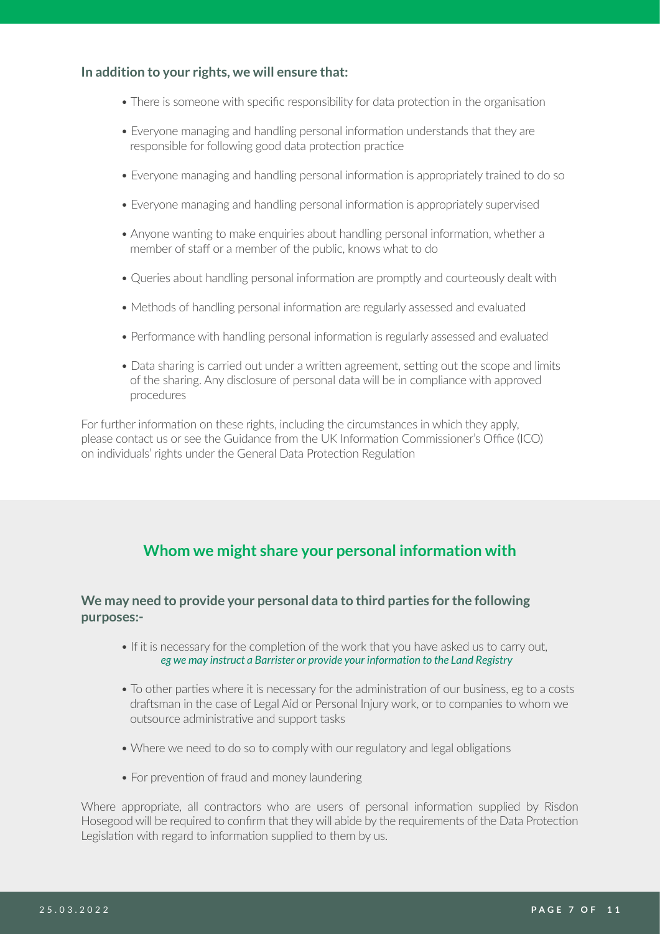#### **In addition to your rights, we will ensure that:**

- There is someone with specific responsibility for data protection in the organisation
- Everyone managing and handling personal information understands that they are responsible for following good data protection practice
- Everyone managing and handling personal information is appropriately trained to do so
- Everyone managing and handling personal information is appropriately supervised
- Anyone wanting to make enquiries about handling personal information, whether a member of staff or a member of the public, knows what to do
- Queries about handling personal information are promptly and courteously dealt with
- Methods of handling personal information are regularly assessed and evaluated
- Performance with handling personal information is regularly assessed and evaluated
- Data sharing is carried out under a written agreement, setting out the scope and limits of the sharing. Any disclosure of personal data will be in compliance with approved procedures

For further information on these rights, including the circumstances in which they apply, please contact us or see the Guidance from the UK Information Commissioner's Office (ICO) on individuals' rights under the General Data Protection Regulation

# **Whom we might share your personal information with**

#### **We may need to provide your personal data to third parties for the following purposes:-**

- If it is necessary for the completion of the work that you have asked us to carry out,  *eg we may instruct a Barrister or provide your information to the Land Registry*
- To other parties where it is necessary for the administration of our business, eg to a costs draftsman in the case of Legal Aid or Personal Injury work, or to companies to whom we outsource administrative and support tasks
- Where we need to do so to comply with our regulatory and legal obligations
- For prevention of fraud and money laundering

Where appropriate, all contractors who are users of personal information supplied by Risdon Hosegood will be required to confirm that they will abide by the requirements of the Data Protection Legislation with regard to information supplied to them by us.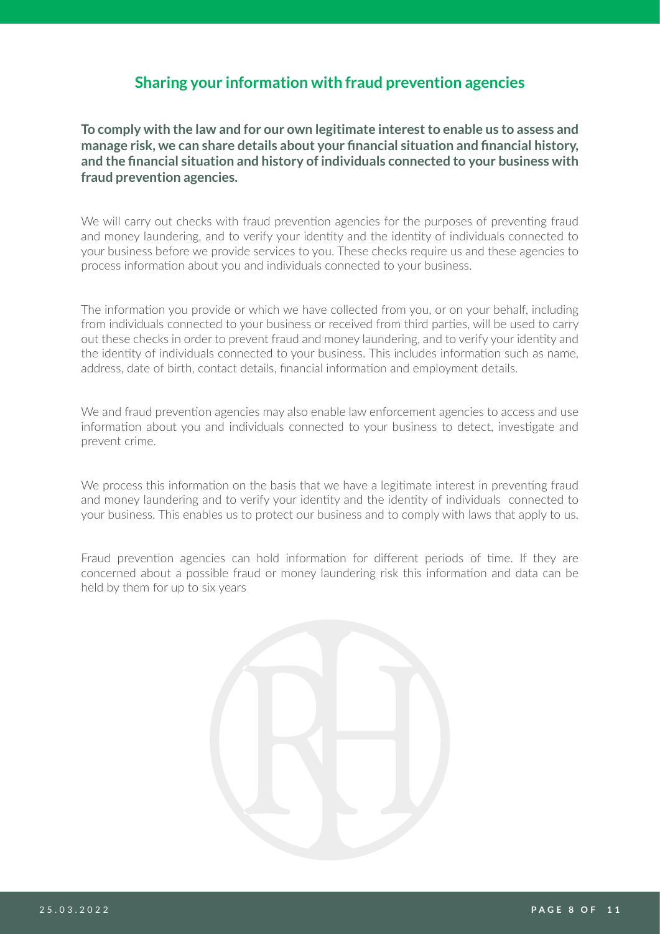#### **Sharing your information with fraud prevention agencies**

**To comply with the law and for our own legitimate interest to enable us to assess and manage risk, we can share details about your financial situation and financial history, and the financial situation and history of individuals connected to your business with fraud prevention agencies.**

We will carry out checks with fraud prevention agencies for the purposes of preventing fraud and money laundering, and to verify your identity and the identity of individuals connected to your business before we provide services to you. These checks require us and these agencies to process information about you and individuals connected to your business.

The information you provide or which we have collected from you, or on your behalf, including from individuals connected to your business or received from third parties, will be used to carry out these checks in order to prevent fraud and money laundering, and to verify your identity and the identity of individuals connected to your business. This includes information such as name, address, date of birth, contact details, financial information and employment details.

We and fraud prevention agencies may also enable law enforcement agencies to access and use information about you and individuals connected to your business to detect, investigate and prevent crime.

We process this information on the basis that we have a legitimate interest in preventing fraud and money laundering and to verify your identity and the identity of individuals connected to your business. This enables us to protect our business and to comply with laws that apply to us.

Fraud prevention agencies can hold information for different periods of time. If they are concerned about a possible fraud or money laundering risk this information and data can be held by them for up to six years

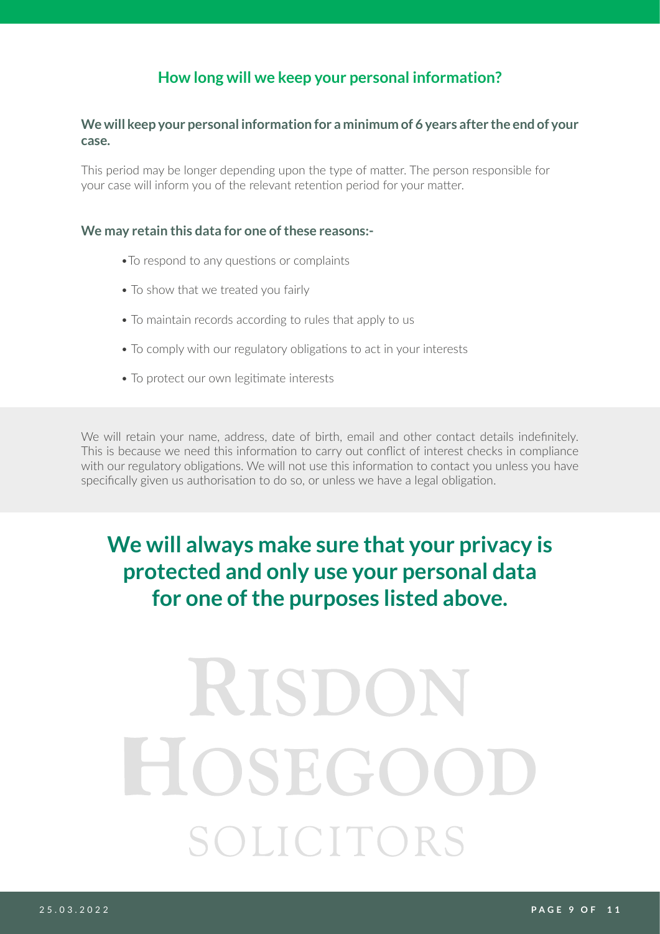# **How long will we keep your personal information?**

#### **We will keep your personal information for a minimum of 6 years after the end of your case.**

This period may be longer depending upon the type of matter. The person responsible for your case will inform you of the relevant retention period for your matter.

#### **We may retain this data for one of these reasons:-**

- •To respond to any questions or complaints
- To show that we treated you fairly
- To maintain records according to rules that apply to us
- To comply with our regulatory obligations to act in your interests
- To protect our own legitimate interests

We will retain your name, address, date of birth, email and other contact details indefinitely. This is because we need this information to carry out conflict of interest checks in compliance with our regulatory obligations. We will not use this information to contact you unless you have specifically given us authorisation to do so, or unless we have a legal obligation.

# **We will always make sure that your privacy is protected and only use your personal data for one of the purposes listed above.**

# RISDO HOSEGOO SOLICITOR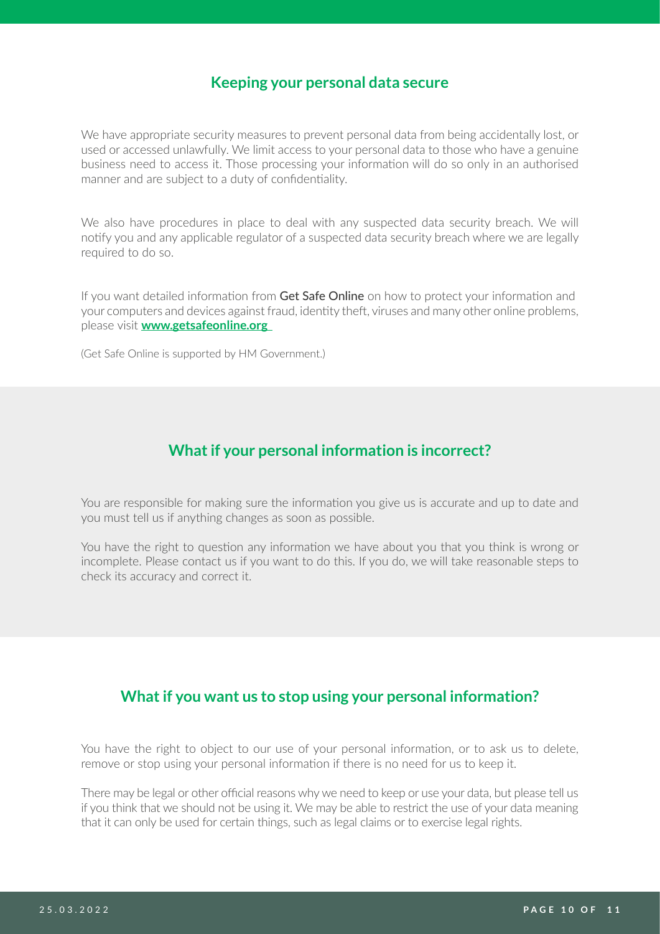#### **Keeping your personal data secure**

We have appropriate security measures to prevent personal data from being accidentally lost, or used or accessed unlawfully. We limit access to your personal data to those who have a genuine business need to access it. Those processing your information will do so only in an authorised manner and are subject to a duty of confidentiality.

We also have procedures in place to deal with any suspected data security breach. We will notify you and any applicable regulator of a suspected data security breach where we are legally required to do so.

If you want detailed information from Get Safe Online on how to protect your information and your computers and devices against fraud, identity theft, viruses and many other online problems, please visit **[www.getsafeonline.org](mailto:www.getsafeonline.org%20?subject=)** 

(Get Safe Online is supported by HM Government.)

#### **What if your personal information is incorrect?**

You are responsible for making sure the information you give us is accurate and up to date and you must tell us if anything changes as soon as possible.

You have the right to question any information we have about you that you think is wrong or incomplete. Please contact us if you want to do this. If you do, we will take reasonable steps to check its accuracy and correct it.

#### **What if you want us to stop using your personal information?**

You have the right to object to our use of your personal information, or to ask us to delete, remove or stop using your personal information if there is no need for us to keep it.

There may be legal or other official reasons why we need to keep or use your data, but please tell us if you think that we should not be using it. We may be able to restrict the use of your data meaning that it can only be used for certain things, such as legal claims or to exercise legal rights.